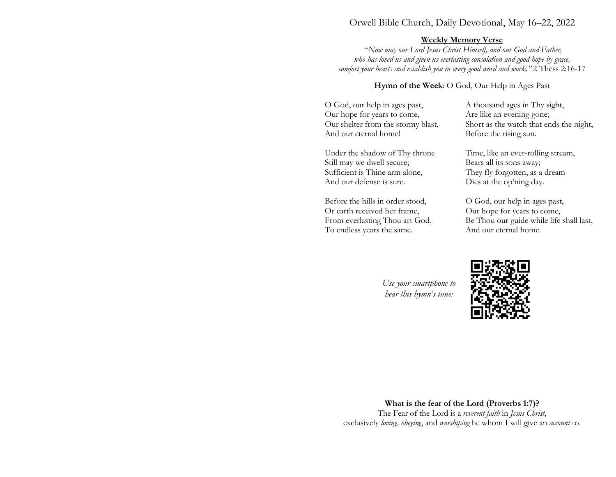### Orwell Bible Church, Daily Devotional, May 16–22, 2022

#### Weekly Memory Verse

 "Now may our Lord Jesus Christ Himself, and our God and Father, who has loved us and given us everlasting consolation and good hope by grace, comfort your hearts and establish you in every good word and work." 2 Thess 2:16-17

Hymn of the Week: O God, Our Help in Ages Past

O God, our help in ages past, Our hope for years to come, Our shelter from the stormy blast, And our eternal home!

Under the shadow of Thy throne Still may we dwell secure; Sufficient is Thine arm alone, And our defense is sure.

Before the hills in order stood, Or earth received her frame, From everlasting Thou art God, To endless years the same.

A thousand ages in Thy sight, Are like an evening gone; Short as the watch that ends the night, Before the rising sun.

Time, like an ever-rolling stream, Bears all its sons away; They fly forgotten, as a dream Dies at the op'ning day.

O God, our help in ages past, Our hope for years to come, Be Thou our guide while life shall last, And our eternal home.

Use your smartphone to hear this hymn's tune:



What is the fear of the Lord (Proverbs 1:7)? The Fear of the Lord is a reverent faith in Jesus Christ, exclusively loving, obeying, and worshiping he whom I will give an account to.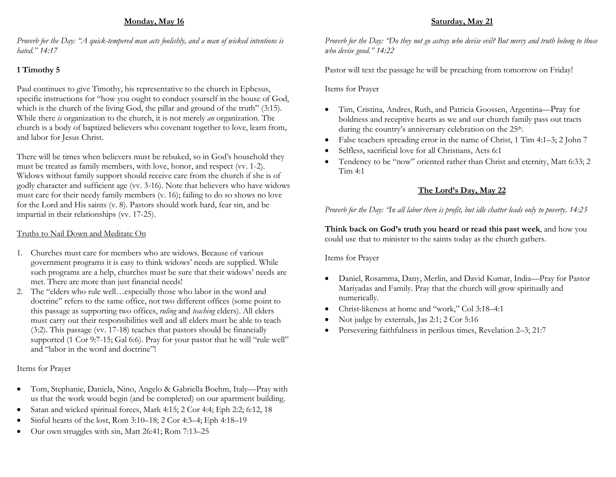### Monday, May 16

Proverb for the Day: "A quick-tempered man acts foolishly, and a man of wicked intentions is hated." 14:17

# 1 Timothy 5

Paul continues to give Timothy, his representative to the church in Ephesus, specific instructions for "how you ought to conduct yourself in the house of God, which is the church of the living God, the pillar and ground of the truth" (3:15). While there *is* organization to the church, it is not merely *an* organization. The church is a body of baptized believers who covenant together to love, learn from, and labor for Jesus Christ.

There will be times when believers must be rebuked, so in God's household they must be treated as family members, with love, honor, and respect (vv. 1-2). Widows without family support should receive care from the church if she is of godly character and sufficient age (vv. 3-16). Note that believers who have widows must care for their needy family members (v. 16); failing to do so shows no love for the Lord and His saints (v. 8). Pastors should work hard, fear sin, and be impartial in their relationships (vv. 17-25).

#### Truths to Nail Down and Meditate On

- 1. Churches must care for members who are widows. Because of various government programs it is easy to think widows' needs are supplied. While such programs are a help, churches must be sure that their widows' needs are met. There are more than just financial needs!
- 2. The "elders who rule well…especially those who labor in the word and doctrine" refers to the same office, not two different offices (some point to this passage as supporting two offices, *ruling* and *teaching* elders). All elders must carry out their responsibilities well and all elders must be able to teach (3:2). This passage (vv. 17-18) teaches that pastors should be financially supported (1 Cor 9:7-15; Gal 6:6). Pray for your pastor that he will "rule well" and "labor in the word and doctrine"!

### Items for Prayer

- Tom, Stephanie, Daniela, Nino, Angelo & Gabriella Boehm, Italy—Pray with us that the work would begin (and be completed) on our apartment building.
- Satan and wicked spiritual forces, Mark 4:15; 2 Cor 4:4; Eph 2:2; 6:12, 18
- Sinful hearts of the lost, Rom 3:10–18; 2 Cor 4:3–4; Eph 4:18–19
- Our own struggles with sin, Matt 26:41; Rom 7:13–25

# Saturday, May 21

Proverb for the Day: "Do they not go astray who devise evil? But mercy and truth belong to those who devise good." 14:22

Pastor will text the passage he will be preaching from tomorrow on Friday!

Items for Prayer

- Tim, Cristina, Andres, Ruth, and Patricia Goossen, Argentina—Pray for boldness and receptive hearts as we and our church family pass out tracts during the country's anniversary celebration on the 25<sup>th</sup>.
- False teachers spreading error in the name of Christ, 1 Tim 4:1-3; 2 John 7
- Selfless, sacrificial love for all Christians, Acts 6:1
- Tendency to be "now" oriented rather than Christ and eternity, Matt 6:33; 2 Tim 4:1

# The Lord's Day, May 22

Proverb for the Day: "In all labor there is profit, but idle chatter leads only to poverty. 14:23

Think back on God's truth you heard or read this past week, and how you could use that to minister to the saints today as the church gathers.

Items for Prayer

- Daniel, Rosamma, Dany, Merlin, and David Kumar, India—Pray for Pastor Mariyadas and Family. Pray that the church will grow spiritually and numerically.
- Christ-likeness at home and "work," Col 3:18–4:1
- Not judge by externals, Jas 2:1; 2 Cor 5:16
- Persevering faithfulness in perilous times, Revelation 2–3; 21:7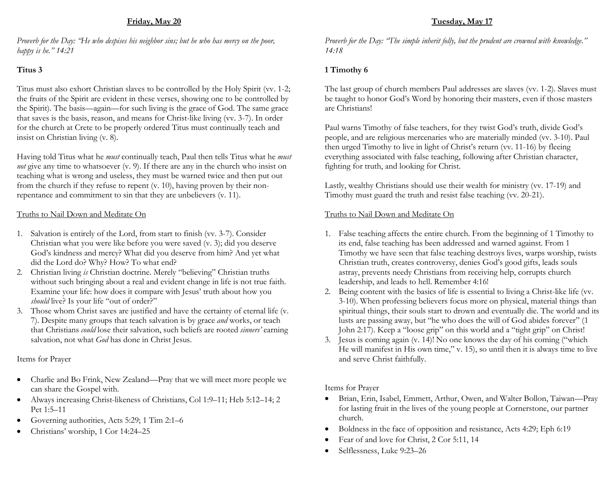#### Friday, May 20

Proverb for the Day: "He who despises his neighbor sins; but he who has mercy on the poor, happy is he." 14:21

## Titus 3

Titus must also exhort Christian slaves to be controlled by the Holy Spirit (vv. 1-2; the fruits of the Spirit are evident in these verses, showing one to be controlled by the Spirit). The basis—again—for such living is the grace of God. The same grace that saves is the basis, reason, and means for Christ-like living (vv. 3-7). In order for the church at Crete to be properly ordered Titus must continually teach and insist on Christian living (v. 8).

Having told Titus what he *must* continually teach, Paul then tells Titus what he *must* not give any time to whatsoever (v. 9). If there are any in the church who insist on teaching what is wrong and useless, they must be warned twice and then put out from the church if they refuse to repent (v. 10), having proven by their nonrepentance and commitment to sin that they are unbelievers (v. 11).

#### Truths to Nail Down and Meditate On

- 1. Salvation is entirely of the Lord, from start to finish (vv. 3-7). Consider Christian what you were like before you were saved (v. 3); did you deserve God's kindness and mercy? What did you deserve from him? And yet what did the Lord do? Why? How? To what end?
- 2. Christian living is Christian doctrine. Merely "believing" Christian truths without such bringing about a real and evident change in life is not true faith. Examine your life: how does it compare with Jesus' truth about how you should live? Is your life "out of order?"
- 3. Those whom Christ saves are justified and have the certainty of eternal life (v. 7). Despite many groups that teach salvation is by grace and works, or teach that Christians *could* lose their salvation, such beliefs are rooted *sinners'* earning salvation, not what God has done in Christ Jesus.

### Items for Prayer

- Charlie and Bo Frink, New Zealand—Pray that we will meet more people we can share the Gospel with.
- Always increasing Christ-likeness of Christians, Col 1:9–11; Heb 5:12–14; 2 Pet 1:5–11
- Governing authorities, Acts 5:29; 1 Tim 2:1–6
- Christians' worship, 1 Cor 14:24–25

# Tuesday, May 17

Proverb for the Day: "The simple inherit folly, but the prudent are crowned with knowledge." 14:18

## 1 Timothy 6

The last group of church members Paul addresses are slaves (vv. 1-2). Slaves must be taught to honor God's Word by honoring their masters, even if those masters are Christians!

Paul warns Timothy of false teachers, for they twist God's truth, divide God's people, and are religious mercenaries who are materially minded (vv. 3-10). Paul then urged Timothy to live in light of Christ's return (vv. 11-16) by fleeing everything associated with false teaching, following after Christian character, fighting for truth, and looking for Christ.

Lastly, wealthy Christians should use their wealth for ministry (vv. 17-19) and Timothy must guard the truth and resist false teaching (vv. 20-21).

#### Truths to Nail Down and Meditate On

- 1. False teaching affects the entire church. From the beginning of 1 Timothy to its end, false teaching has been addressed and warned against. From 1 Timothy we have seen that false teaching destroys lives, warps worship, twists Christian truth, creates controversy, denies God's good gifts, leads souls astray, prevents needy Christians from receiving help, corrupts church leadership, and leads to hell. Remember 4:16!
- 2. Being content with the basics of life is essential to living a Christ-like life (vv. 3-10). When professing believers focus more on physical, material things than spiritual things, their souls start to drown and eventually die. The world and its lusts are passing away, but "he who does the will of God abides forever" (1 John 2:17). Keep a "loose grip" on this world and a "tight grip" on Christ!
- 3. Jesus is coming again (v. 14)! No one knows the day of his coming ("which He will manifest in His own time," v. 15), so until then it is always time to live and serve Christ faithfully.

Items for Prayer

- Brian, Erin, Isabel, Emmett, Arthur, Owen, and Walter Bollon, Taiwan—Pray for lasting fruit in the lives of the young people at Cornerstone, our partner church.
- Boldness in the face of opposition and resistance, Acts 4:29; Eph 6:19
- Fear of and love for Christ, 2 Cor 5:11, 14
- Selflessness, Luke 9:23–26